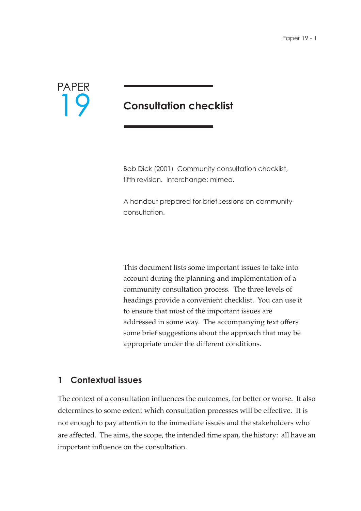

# **Consultation checklist**

Bob Dick (2001) Community consultation checklist, fifth revision. Interchange: mimeo.

A handout prepared for brief sessions on community consultation.

This document lists some important issues to take into account during the planning and implementation of a community consultation process. The three levels of headings provide a convenient checklist. You can use it to ensure that most of the important issues are addressed in some way. The accompanying text offers some brief suggestions about the approach that may be appropriate under the different conditions.

## **1 Contextual issues**

The context of a consultation influences the outcomes, for better or worse. It also determines to some extent which consultation processes will be effective. It is not enough to pay attention to the immediate issues and the stakeholders who are affected. The aims, the scope, the intended time span, the history: all have an important influence on the consultation.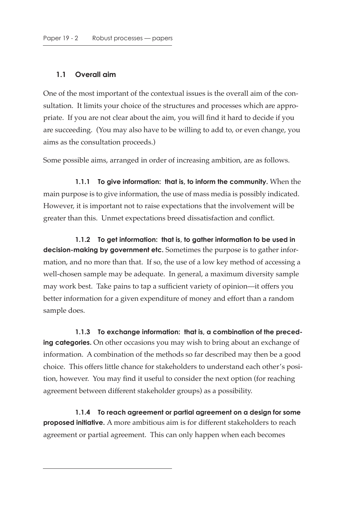## **1.1 Overall aim**

One of the most important of the contextual issues is the overall aim of the consultation. It limits your choice of the structures and processes which are appropriate. If you are not clear about the aim, you will find it hard to decide if you are succeeding. (You may also have to be willing to add to, or even change, you aims as the consultation proceeds.)

Some possible aims, arranged in order of increasing ambition, are as follows.

**1.1.1 To give information: that is, to inform the community.** When the main purpose is to give information, the use of mass media is possibly indicated. However, it is important not to raise expectations that the involvement will be greater than this. Unmet expectations breed dissatisfaction and conflict.

**1.1.2 To get information: that is, to gather information to be used in decision-making by government etc.** Sometimes the purpose is to gather information, and no more than that. If so, the use of a low key method of accessing a well-chosen sample may be adequate. In general, a maximum diversity sample may work best. Take pains to tap a sufficient variety of opinion—it offers you better information for a given expenditure of money and effort than a random sample does.

**1.1.3 To exchange information: that is, a combination of the preceding categories.** On other occasions you may wish to bring about an exchange of information. A combination of the methods so far described may then be a good choice. This offers little chance for stakeholders to understand each other's position, however. You may find it useful to consider the next option (for reaching agreement between different stakeholder groups) as a possibility.

**1.1.4 To reach agreement or partial agreement on a design for some proposed initiative.** A more ambitious aim is for different stakeholders to reach agreement or partial agreement. This can only happen when each becomes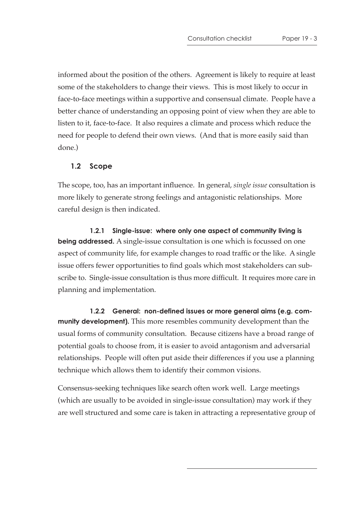informed about the position of the others. Agreement is likely to require at least some of the stakeholders to change their views. This is most likely to occur in face-to-face meetings within a supportive and consensual climate. People have a better chance of understanding an opposing point of view when they are able to listen to it, face-to-face. It also requires a climate and process which reduce the need for people to defend their own views. (And that is more easily said than done.)

#### **1.2 Scope**

The scope, too, has an important influence. In general, *single issue* consultation is more likely to generate strong feelings and antagonistic relationships. More careful design is then indicated.

**1.2.1 Single-issue: where only one aspect of community living is being addressed.** A single-issue consultation is one which is focussed on one aspect of community life, for example changes to road traffic or the like. A single issue offers fewer opportunities to find goals which most stakeholders can subscribe to. Single-issue consultation is thus more difficult. It requires more care in planning and implementation.

**1.2.2 General: non-defined issues or more general aims (e.g. community development).** This more resembles community development than the usual forms of community consultation. Because citizens have a broad range of potential goals to choose from, it is easier to avoid antagonism and adversarial relationships. People will often put aside their differences if you use a planning technique which allows them to identify their common visions.

Consensus-seeking techniques like search often work well. Large meetings (which are usually to be avoided in single-issue consultation) may work if they are well structured and some care is taken in attracting a representative group of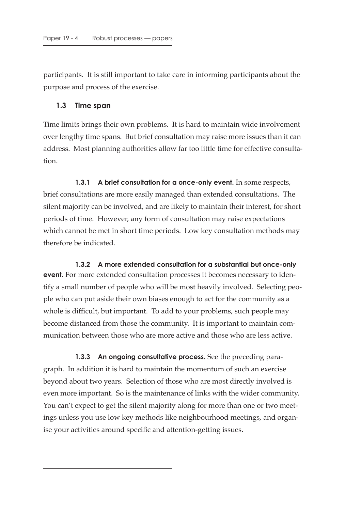participants. It is still important to take care in informing participants about the purpose and process of the exercise.

#### **1.3 Time span**

Time limits brings their own problems. It is hard to maintain wide involvement over lengthy time spans. But brief consultation may raise more issues than it can address. Most planning authorities allow far too little time for effective consultation.

**1.3.1 A brief consultation for a once-only event.** In some respects, brief consultations are more easily managed than extended consultations. The silent majority can be involved, and are likely to maintain their interest, for short periods of time. However, any form of consultation may raise expectations which cannot be met in short time periods. Low key consultation methods may therefore be indicated.

**1.3.2 A more extended consultation for a substantial but once-only event.** For more extended consultation processes it becomes necessary to identify a small number of people who will be most heavily involved. Selecting people who can put aside their own biases enough to act for the community as a whole is difficult, but important. To add to your problems, such people may become distanced from those the community. It is important to maintain communication between those who are more active and those who are less active.

**1.3.3 An ongoing consultative process.** See the preceding paragraph. In addition it is hard to maintain the momentum of such an exercise beyond about two years. Selection of those who are most directly involved is even more important. So is the maintenance of links with the wider community. You can't expect to get the silent majority along for more than one or two meetings unless you use low key methods like neighbourhood meetings, and organise your activities around specific and attention-getting issues.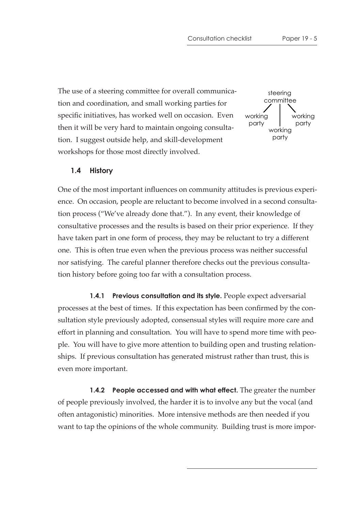The use of a steering committee for overall communication and coordination, and small working parties for specific initiatives, has worked well on occasion. Even then it will be very hard to maintain ongoing consultation. I suggest outside help, and skill-development workshops for those most directly involved.



## **1.4 History**

One of the most important influences on community attitudes is previous experience. On occasion, people are reluctant to become involved in a second consultation process ("We've already done that."). In any event, their knowledge of consultative processes and the results is based on their prior experience. If they have taken part in one form of process, they may be reluctant to try a different one. This is often true even when the previous process was neither successful nor satisfying. The careful planner therefore checks out the previous consultation history before going too far with a consultation process.

**1.4.1 Previous consultation and its style.** People expect adversarial processes at the best of times. If this expectation has been confirmed by the consultation style previously adopted, consensual styles will require more care and effort in planning and consultation. You will have to spend more time with people. You will have to give more attention to building open and trusting relationships. If previous consultation has generated mistrust rather than trust, this is even more important.

**1.4.2** People accessed and with what effect. The greater the number of people previously involved, the harder it is to involve any but the vocal (and often antagonistic) minorities. More intensive methods are then needed if you want to tap the opinions of the whole community. Building trust is more impor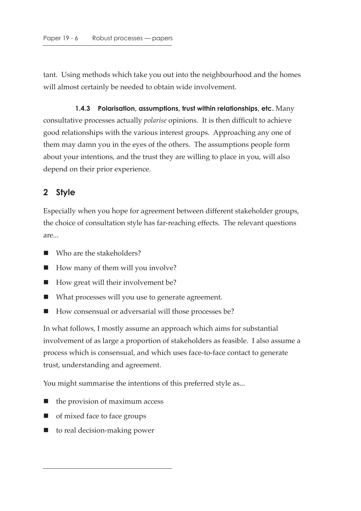tant. Using methods which take you out into the neighbourhood and the homes will almost certainly be needed to obtain wide involvement.

**1.4.3 Polarisation, assumptions, trust within relationships, etc.** Many consultative processes actually *polarise* opinions. It is then difficult to achieve good relationships with the various interest groups. Approaching any one of them may damn you in the eyes of the others. The assumptions people form about your intentions, and the trust they are willing to place in you, will also depend on their prior experience.

## **2 Style**

Especially when you hope for agreement between different stakeholder groups, the choice of consultation style has far-reaching effects. The relevant questions are...

- Who are the stakeholders?
- How many of them will you involve?
- How great will their involvement be?
- What processes will you use to generate agreement.
- How consensual or adversarial will those processes be?

In what follows, I mostly assume an approach which aims for substantial involvement of as large a proportion of stakeholders as feasible. I also assume a process which is consensual, and which uses face-to-face contact to generate trust, understanding and agreement.

You might summarise the intentions of this preferred style as...

- the provision of maximum access
- of mixed face to face groups
- to real decision-making power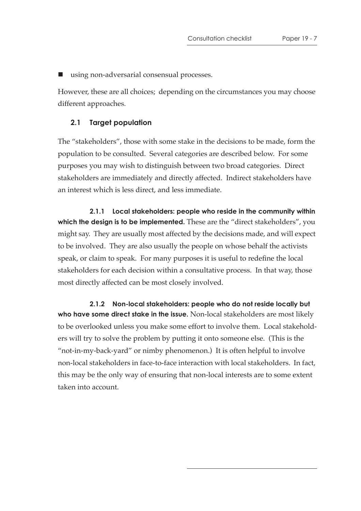using non-adversarial consensual processes.

However, these are all choices; depending on the circumstances you may choose different approaches.

## **2.1 Target population**

The "stakeholders", those with some stake in the decisions to be made, form the population to be consulted. Several categories are described below. For some purposes you may wish to distinguish between two broad categories. Direct stakeholders are immediately and directly affected. Indirect stakeholders have an interest which is less direct, and less immediate.

**2.1.1 Local stakeholders: people who reside in the community within which the design is to be implemented.** These are the "direct stakeholders", you might say. They are usually most affected by the decisions made, and will expect to be involved. They are also usually the people on whose behalf the activists speak, or claim to speak. For many purposes it is useful to redefine the local stakeholders for each decision within a consultative process. In that way, those most directly affected can be most closely involved.

**2.1.2 Non-local stakeholders: people who do not reside locally but who have some direct stake in the issue.** Non-local stakeholders are most likely to be overlooked unless you make some effort to involve them. Local stakeholders will try to solve the problem by putting it onto someone else. (This is the "not-in-my-back-yard" or nimby phenomenon.) It is often helpful to involve non-local stakeholders in face-to-face interaction with local stakeholders. In fact, this may be the only way of ensuring that non-local interests are to some extent taken into account.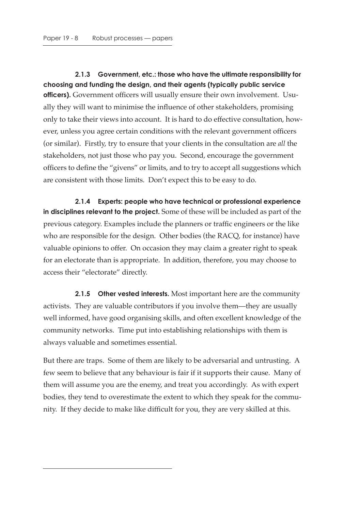**2.1.3 Government, etc.: those who have the ultimate responsibility for choosing and funding the design, and their agents (typically public service officers).** Government officers will usually ensure their own involvement. Usually they will want to minimise the influence of other stakeholders, promising only to take their views into account. It is hard to do effective consultation, however, unless you agree certain conditions with the relevant government officers (or similar). Firstly, try to ensure that your clients in the consultation are *all* the stakeholders, not just those who pay you. Second, encourage the government officers to define the "givens" or limits, and to try to accept all suggestions which are consistent with those limits. Don't expect this to be easy to do.

**2.1.4 Experts: people who have technical or professional experience in disciplines relevant to the project.** Some of these will be included as part of the previous category. Examples include the planners or traffic engineers or the like who are responsible for the design. Other bodies (the RACQ, for instance) have valuable opinions to offer. On occasion they may claim a greater right to speak for an electorate than is appropriate. In addition, therefore, you may choose to access their "electorate" directly.

**2.1.5 Other vested interests.** Most important here are the community activists. They are valuable contributors if you involve them—they are usually well informed, have good organising skills, and often excellent knowledge of the community networks. Time put into establishing relationships with them is always valuable and sometimes essential.

But there are traps. Some of them are likely to be adversarial and untrusting. A few seem to believe that any behaviour is fair if it supports their cause. Many of them will assume you are the enemy, and treat you accordingly. As with expert bodies, they tend to overestimate the extent to which they speak for the community. If they decide to make like difficult for you, they are very skilled at this.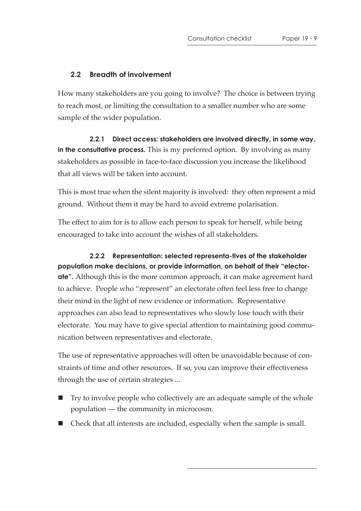## **2.2 Breadth of involvement**

How many stakeholders are you going to involve? The choice is between trying to reach most, or limiting the consultation to a smaller number who are some sample of the wider population.

**2.2.1 Direct access: stakeholders are involved directly, in some way, in the consultative process.** This is my preferred option. By involving as many stakeholders as possible in face-to-face discussion you increase the likelihood that all views will be taken into account.

This is most true when the silent majority is involved: they often represent a mid ground. Without them it may be hard to avoid extreme polarisation.

The effect to aim for is to allow each person to speak for herself, while being encouraged to take into account the wishes of all stakeholders.

**2.2.2 Representation: selected representa-tives of the stakeholder population make decisions, or provide information, on behalf of their "electorate".** Although this is the more common approach, it can make agreement hard to achieve. People who "represent" an electorate often feel less free to change their mind in the light of new evidence or information. Representative approaches can also lead to representatives who slowly lose touch with their electorate. You may have to give special attention to maintaining good communication between representatives and electorate.

The use of representative approaches will often be unavoidable because of constraints of time and other resources. If so, you can improve their effectiveness through the use of certain strategies ...

- Try to involve people who collectively are an adequate sample of the whole population — the community in microcosm.
- Check that all interests are included, especially when the sample is small.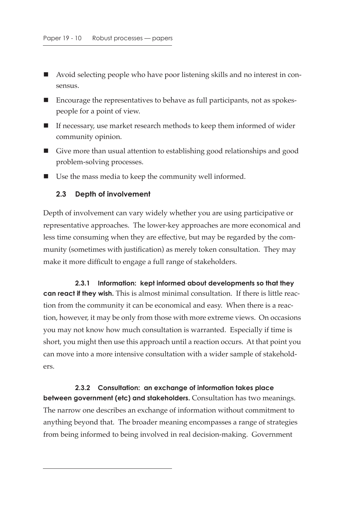- Avoid selecting people who have poor listening skills and no interest in consensus.
- Encourage the representatives to behave as full participants, not as spokespeople for a point of view.
- $\blacksquare$  If necessary, use market research methods to keep them informed of wider community opinion.
- Give more than usual attention to establishing good relationships and good problem-solving processes.
- Use the mass media to keep the community well informed.

#### **2.3 Depth of involvement**

Depth of involvement can vary widely whether you are using participative or representative approaches. The lower-key approaches are more economical and less time consuming when they are effective, but may be regarded by the community (sometimes with justification) as merely token consultation. They may make it more difficult to engage a full range of stakeholders.

**2.3.1 Information: kept informed about developments so that they can react if they wish.** This is almost minimal consultation. If there is little reaction from the community it can be economical and easy. When there is a reaction, however, it may be only from those with more extreme views. On occasions you may not know how much consultation is warranted. Especially if time is short, you might then use this approach until a reaction occurs. At that point you can move into a more intensive consultation with a wider sample of stakeholders.

**2.3.2 Consultation: an exchange of information takes place between government (etc) and stakeholders.** Consultation has two meanings. The narrow one describes an exchange of information without commitment to anything beyond that. The broader meaning encompasses a range of strategies from being informed to being involved in real decision-making. Government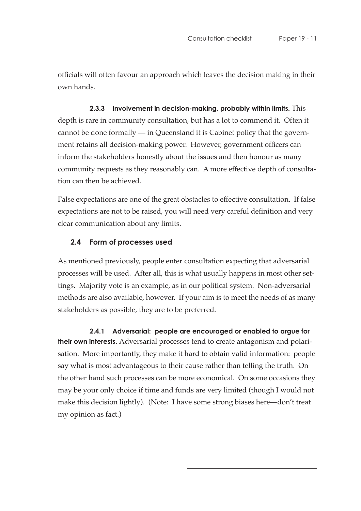officials will often favour an approach which leaves the decision making in their own hands.

**2.3.3 Involvement in decision-making, probably within limits.** This depth is rare in community consultation, but has a lot to commend it. Often it cannot be done formally — in Queensland it is Cabinet policy that the government retains all decision-making power. However, government officers can inform the stakeholders honestly about the issues and then honour as many community requests as they reasonably can. A more effective depth of consultation can then be achieved.

False expectations are one of the great obstacles to effective consultation. If false expectations are not to be raised, you will need very careful definition and very clear communication about any limits.

## **2.4 Form of processes used**

As mentioned previously, people enter consultation expecting that adversarial processes will be used. After all, this is what usually happens in most other settings. Majority vote is an example, as in our political system. Non-adversarial methods are also available, however. If your aim is to meet the needs of as many stakeholders as possible, they are to be preferred.

**2.4.1 Adversarial: people are encouraged or enabled to argue for their own interests.** Adversarial processes tend to create antagonism and polarisation. More importantly, they make it hard to obtain valid information: people say what is most advantageous to their cause rather than telling the truth. On the other hand such processes can be more economical. On some occasions they may be your only choice if time and funds are very limited (though I would not make this decision lightly). (Note: I have some strong biases here—don't treat my opinion as fact.)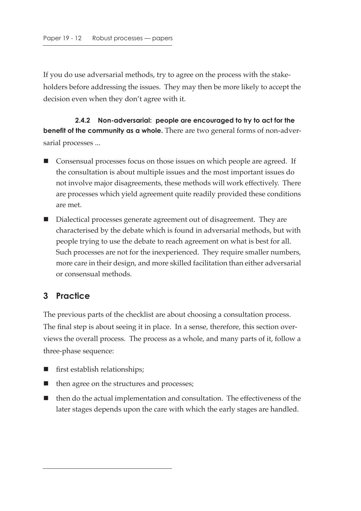If you do use adversarial methods, try to agree on the process with the stakeholders before addressing the issues. They may then be more likely to accept the decision even when they don't agree with it.

**2.4.2 Non-adversarial: people are encouraged to try to act for the benefit of the community as a whole.** There are two general forms of non-adversarial processes ...

- **E** Consensual processes focus on those issues on which people are agreed. If the consultation is about multiple issues and the most important issues do not involve major disagreements, these methods will work effectively. There are processes which yield agreement quite readily provided these conditions are met.
- Dialectical processes generate agreement out of disagreement. They are characterised by the debate which is found in adversarial methods, but with people trying to use the debate to reach agreement on what is best for all. Such processes are not for the inexperienced. They require smaller numbers, more care in their design, and more skilled facilitation than either adversarial or consensual methods.

## **3 Practice**

The previous parts of the checklist are about choosing a consultation process. The final step is about seeing it in place. In a sense, therefore, this section overviews the overall process. The process as a whole, and many parts of it, follow a three-phase sequence:

- first establish relationships;
- then agree on the structures and processes;
- $\blacksquare$  then do the actual implementation and consultation. The effectiveness of the later stages depends upon the care with which the early stages are handled.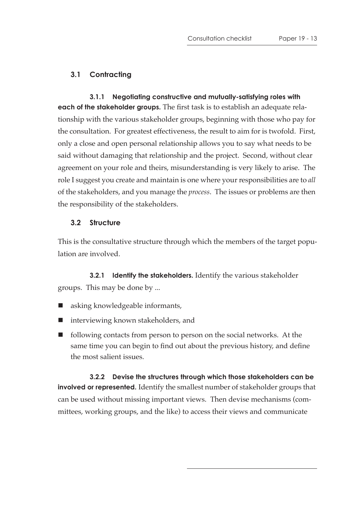## **3.1 Contracting**

**3.1.1 Negotiating constructive and mutually-satisfying roles with each of the stakeholder groups.** The first task is to establish an adequate relationship with the various stakeholder groups, beginning with those who pay for the consultation. For greatest effectiveness, the result to aim for is twofold. First, only a close and open personal relationship allows you to say what needs to be said without damaging that relationship and the project. Second, without clear agreement on your role and theirs, misunderstanding is very likely to arise. The role I suggest you create and maintain is one where your responsibilities are to *all* of the stakeholders, and you manage the *process*. The issues or problems are then the responsibility of the stakeholders.

## **3.2 Structure**

This is the consultative structure through which the members of the target population are involved.

**3.2.1 Identify the stakeholders.** Identify the various stakeholder groups. This may be done by ...

- asking knowledgeable informants,
- interviewing known stakeholders, and
- $\blacksquare$  following contacts from person to person on the social networks. At the same time you can begin to find out about the previous history, and define the most salient issues.

**3.2.2 Devise the structures through which those stakeholders can be involved or represented.** Identify the smallest number of stakeholder groups that can be used without missing important views. Then devise mechanisms (committees, working groups, and the like) to access their views and communicate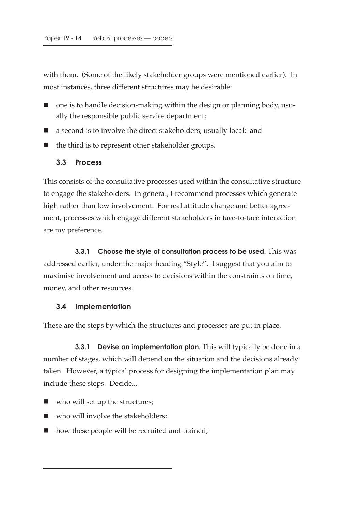with them. (Some of the likely stakeholder groups were mentioned earlier). In most instances, three different structures may be desirable:

- $\blacksquare$  one is to handle decision-making within the design or planning body, usually the responsible public service department;
- a second is to involve the direct stakeholders, usually local; and
- $\blacksquare$  the third is to represent other stakeholder groups.

## **3.3 Process**

This consists of the consultative processes used within the consultative structure to engage the stakeholders. In general, I recommend processes which generate high rather than low involvement. For real attitude change and better agreement, processes which engage different stakeholders in face-to-face interaction are my preference.

**3.3.1 Choose the style of consultation process to be used.** This was addressed earlier, under the major heading "Style". I suggest that you aim to maximise involvement and access to decisions within the constraints on time, money, and other resources.

#### **3.4 Implementation**

These are the steps by which the structures and processes are put in place.

**3.3.1 Devise an implementation plan.** This will typically be done in a number of stages, which will depend on the situation and the decisions already taken. However, a typical process for designing the implementation plan may include these steps. Decide...

- who will set up the structures;
- who will involve the stakeholders;
- how these people will be recruited and trained;